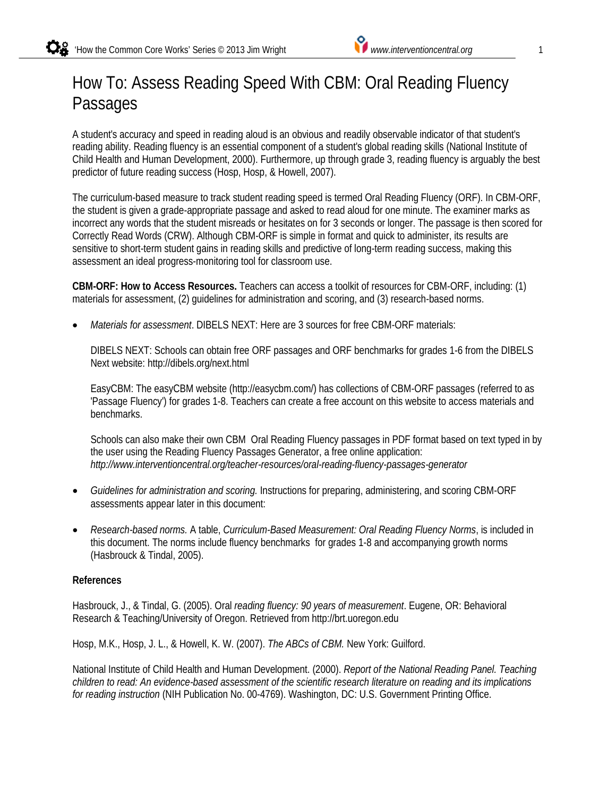# How To: Assess Reading Speed With CBM: Oral Reading Fluency Passages

A student's accuracy and speed in reading aloud is an obvious and readily observable indicator of that student's reading ability. Reading fluency is an essential component of a student's global reading skills (National Institute of Child Health and Human Development, 2000). Furthermore, up through grade 3, reading fluency is arguably the best predictor of future reading success (Hosp, Hosp, & Howell, 2007).

The curriculum-based measure to track student reading speed is termed Oral Reading Fluency (ORF). In CBM-ORF, the student is given a grade-appropriate passage and asked to read aloud for one minute. The examiner marks as incorrect any words that the student misreads or hesitates on for 3 seconds or longer. The passage is then scored for Correctly Read Words (CRW). Although CBM-ORF is simple in format and quick to administer, its results are sensitive to short-term student gains in reading skills and predictive of long-term reading success, making this assessment an ideal progress-monitoring tool for classroom use.

**CBM-ORF: How to Access Resources.** Teachers can access a toolkit of resources for CBM-ORF, including: (1) materials for assessment, (2) guidelines for administration and scoring, and (3) research-based norms.

• *Materials for assessment*. DIBELS NEXT: Here are 3 sources for free CBM-ORF materials:

DIBELS NEXT: Schools can obtain free ORF passages and ORF benchmarks for grades 1-6 from the DIBELS Next website: http://dibels.org/next.html

EasyCBM: The easyCBM website (http://easycbm.com/) has collections of CBM-ORF passages (referred to as 'Passage Fluency') for grades 1-8. Teachers can create a free account on this website to access materials and benchmarks.

Schools can also make their own CBM Oral Reading Fluency passages in PDF format based on text typed in by the user using the Reading Fluency Passages Generator, a free online application: *http://www.interventioncentral.org/teacher-resources/oral-reading-fluency-passages-generator*

- *Guidelines for administration and scoring.* Instructions for preparing, administering, and scoring CBM-ORF assessments appear later in this document:
- *Research-based norms.* A table, *Curriculum-Based Measurement: Oral Reading Fluency Norms*, is included in this document. The norms include fluency benchmarks for grades 1-8 and accompanying growth norms (Hasbrouck & Tindal, 2005).

#### **References**

Hasbrouck, J., & Tindal, G. (2005). Oral *reading fluency: 90 years of measurement*. Eugene, OR: Behavioral Research & Teaching/University of Oregon. Retrieved from http://brt.uoregon.edu

Hosp, M.K., Hosp, J. L., & Howell, K. W. (2007). *The ABCs of CBM.* New York: Guilford.

National Institute of Child Health and Human Development. (2000). *Report of the National Reading Panel. Teaching children to read: An evidence-based assessment of the scientific research literature on reading and its implications for reading instruction* (NIH Publication No. 00-4769). Washington, DC: U.S. Government Printing Office.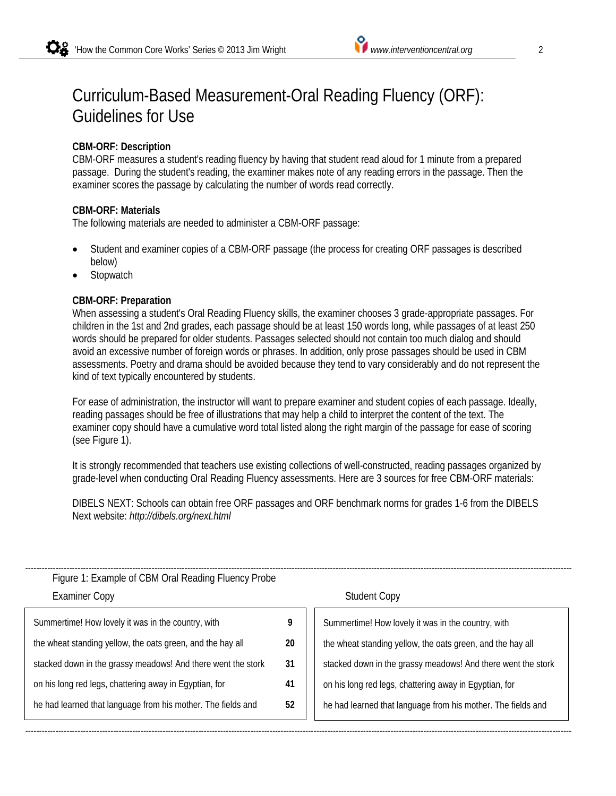## Curriculum-Based Measurement-Oral Reading Fluency (ORF): Guidelines for Use

### **CBM-ORF: Description**

CBM-ORF measures a student's reading fluency by having that student read aloud for 1 minute from a prepared passage. During the student's reading, the examiner makes note of any reading errors in the passage. Then the examiner scores the passage by calculating the number of words read correctly.

#### **CBM-ORF: Materials**

The following materials are needed to administer a CBM-ORF passage:

- Student and examiner copies of a CBM-ORF passage (the process for creating ORF passages is described below)
- **Stopwatch**

#### **CBM-ORF: Preparation**

When assessing a student's Oral Reading Fluency skills, the examiner chooses 3 grade-appropriate passages. For children in the 1st and 2nd grades, each passage should be at least 150 words long, while passages of at least 250 words should be prepared for older students. Passages selected should not contain too much dialog and should avoid an excessive number of foreign words or phrases. In addition, only prose passages should be used in CBM assessments. Poetry and drama should be avoided because they tend to vary considerably and do not represent the kind of text typically encountered by students.

For ease of administration, the instructor will want to prepare examiner and student copies of each passage. Ideally, reading passages should be free of illustrations that may help a child to interpret the content of the text. The examiner copy should have a cumulative word total listed along the right margin of the passage for ease of scoring (see Figure 1).

It is strongly recommended that teachers use existing collections of well-constructed, reading passages organized by grade-level when conducting Oral Reading Fluency assessments. Here are 3 sources for free CBM-ORF materials:

DIBELS NEXT: Schools can obtain free ORF passages and ORF benchmark norms for grades 1-6 from the DIBELS Next website: *http://dibels.org/next.html*

| Figure 1: Example of CBM Oral Reading Fluency Probe<br><b>Examiner Copy</b> |    | <b>Student Copy</b>                                          |  |
|-----------------------------------------------------------------------------|----|--------------------------------------------------------------|--|
| Summertime! How lovely it was in the country, with                          | 9  | Summertime! How lovely it was in the country, with           |  |
| the wheat standing yellow, the oats green, and the hay all                  | 20 | the wheat standing yellow, the oats green, and the hay all   |  |
| stacked down in the grassy meadows! And there went the stork                | 31 | stacked down in the grassy meadows! And there went the stork |  |
| on his long red legs, chattering away in Egyptian, for                      | 41 | on his long red legs, chattering away in Egyptian, for       |  |
| he had learned that language from his mother. The fields and                | 52 | he had learned that language from his mother. The fields and |  |
|                                                                             |    |                                                              |  |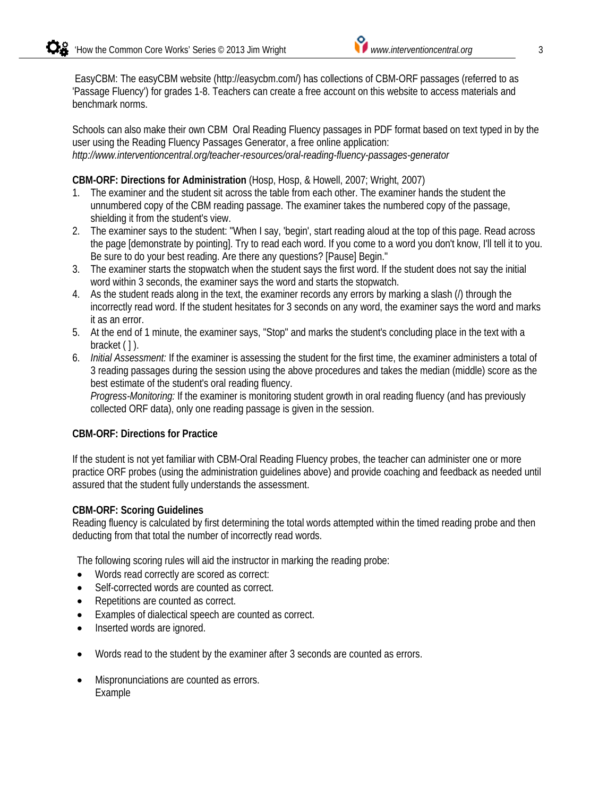EasyCBM: The easyCBM website (http://easycbm.com/) has collections of CBM-ORF passages (referred to as 'Passage Fluency') for grades 1-8. Teachers can create a free account on this website to access materials and benchmark norms.

Schools can also make their own CBM Oral Reading Fluency passages in PDF format based on text typed in by the user using the Reading Fluency Passages Generator, a free online application: *http://www.interventioncentral.org/teacher-resources/oral-reading-fluency-passages-generator*

#### **CBM-ORF: Directions for Administration** (Hosp, Hosp, & Howell, 2007; Wright, 2007)

- 1. The examiner and the student sit across the table from each other. The examiner hands the student the unnumbered copy of the CBM reading passage. The examiner takes the numbered copy of the passage, shielding it from the student's view.
- 2. The examiner says to the student: "When I say, 'begin', start reading aloud at the top of this page. Read across the page [demonstrate by pointing]. Try to read each word. If you come to a word you don't know, I'll tell it to you. Be sure to do your best reading. Are there any questions? [Pause] Begin."
- 3. The examiner starts the stopwatch when the student says the first word. If the student does not say the initial word within 3 seconds, the examiner says the word and starts the stopwatch.
- 4. As the student reads along in the text, the examiner records any errors by marking a slash (/) through the incorrectly read word. If the student hesitates for 3 seconds on any word, the examiner says the word and marks it as an error.
- 5. At the end of 1 minute, the examiner says, "Stop" and marks the student's concluding place in the text with a bracket ( ]).
- 6. *Initial Assessment:* If the examiner is assessing the student for the first time, the examiner administers a total of 3 reading passages during the session using the above procedures and takes the median (middle) score as the best estimate of the student's oral reading fluency.

*Progress-Monitoring:* If the examiner is monitoring student growth in oral reading fluency (and has previously collected ORF data), only one reading passage is given in the session.

#### **CBM-ORF: Directions for Practice**

If the student is not yet familiar with CBM-Oral Reading Fluency probes, the teacher can administer one or more practice ORF probes (using the administration guidelines above) and provide coaching and feedback as needed until assured that the student fully understands the assessment.

#### **CBM-ORF: Scoring Guidelines**

Reading fluency is calculated by first determining the total words attempted within the timed reading probe and then deducting from that total the number of incorrectly read words.

The following scoring rules will aid the instructor in marking the reading probe:

- Words read correctly are scored as correct:
- Self-corrected words are counted as correct.
- Repetitions are counted as correct.
- Examples of dialectical speech are counted as correct.
- Inserted words are ignored.
- Words read to the student by the examiner after 3 seconds are counted as errors.
- Mispronunciations are counted as errors. Example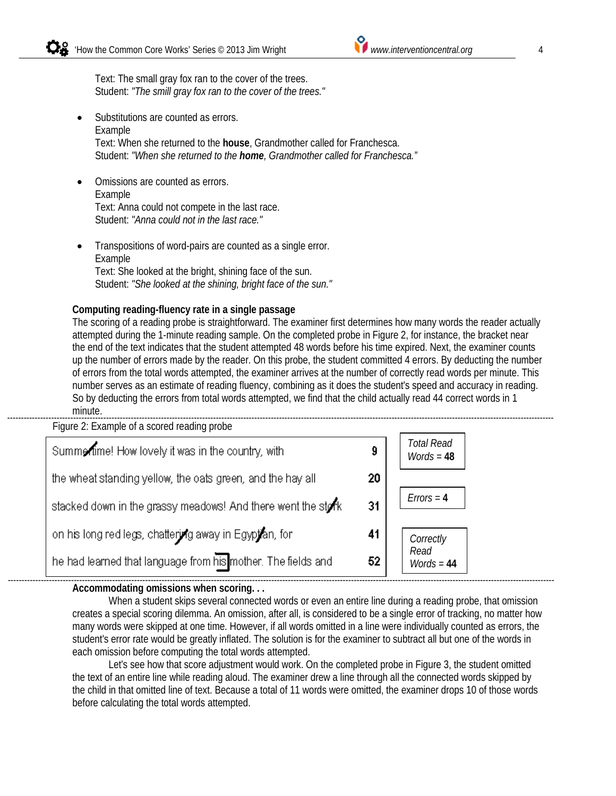Text: The small gray fox ran to the cover of the trees. Student: *"The smill gray fox ran to the cover of the trees."*

- Substitutions are counted as errors. Example Text: When she returned to the **house**, Grandmother called for Franchesca. Student: *"When she returned to the home, Grandmother called for Franchesca."*
- Omissions are counted as errors. Example Text: Anna could not compete in the last race. Student: *"Anna could not in the last race."*
- Transpositions of word-pairs are counted as a single error. Example Text: She looked at the bright, shining face of the sun. Student: *"She looked at the shining, bright face of the sun."*

#### **Computing reading-fluency rate in a single passage**

The scoring of a reading probe is straightforward. The examiner first determines how many words the reader actually attempted during the 1-minute reading sample. On the completed probe in Figure 2, for instance, the bracket near the end of the text indicates that the student attempted 48 words before his time expired. Next, the examiner counts up the number of errors made by the reader. On this probe, the student committed 4 errors. By deducting the number of errors from the total words attempted, the examiner arrives at the number of correctly read words per minute. This number serves as an estimate of reading fluency, combining as it does the student's speed and accuracy in reading. So by deducting the errors from total words attempted, we find that the child actually read 44 correct words in 1 minute.

Figure 2: Example of a scored reading probe *Total Read*  Summertime! How lovely it was in the country, with 9 *Words* = **48** the wheat standing yellow, the oats green, and the hay all 20 *Errors* = **4** stacked down in the grassy meadows! And there went the stork 31 on his long red legs, chattering away in Egyptian, for 41 *Correctly Read*  he had learned that language from his mother. The fields and 52 *Words* = **44** -------------------------------------------------------------------------------------------------------------------------------------------------------------------------------------------------------

#### **Accommodating omissions when scoring. . .**

When a student skips several connected words or even an entire line during a reading probe, that omission creates a special scoring dilemma. An omission, after all, is considered to be a single error of tracking, no matter how many words were skipped at one time. However, if all words omitted in a line were individually counted as errors, the student's error rate would be greatly inflated. The solution is for the examiner to subtract all but one of the words in each omission before computing the total words attempted.

Let's see how that score adjustment would work. On the completed probe in Figure 3, the student omitted the text of an entire line while reading aloud. The examiner drew a line through all the connected words skipped by the child in that omitted line of text. Because a total of 11 words were omitted, the examiner drops 10 of those words before calculating the total words attempted.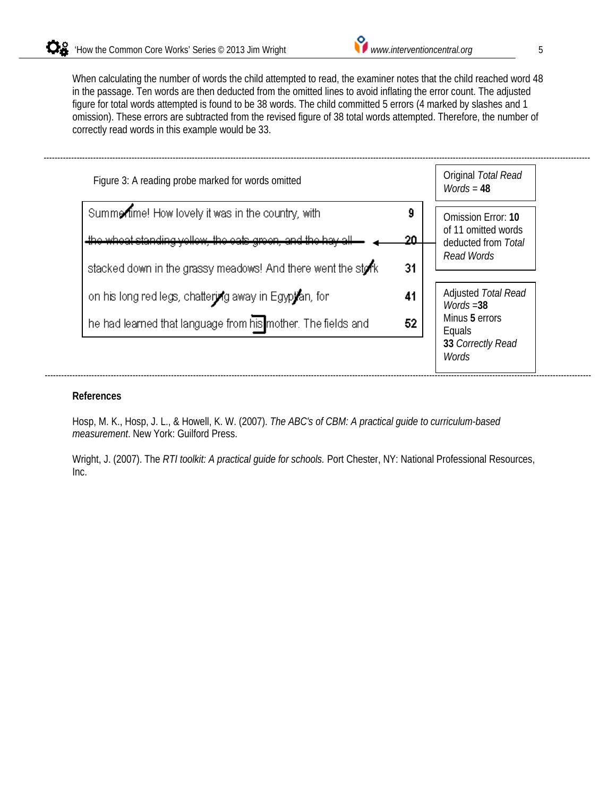When calculating the number of words the child attempted to read, the examiner notes that the child reached word 48 in the passage. Ten words are then deducted from the omitted lines to avoid inflating the error count. The adjusted figure for total words attempted is found to be 38 words. The child committed 5 errors (4 marked by slashes and 1 omission). These errors are subtracted from the revised figure of 38 total words attempted. Therefore, the number of correctly read words in this example would be 33.



#### **References**

Hosp, M. K., Hosp, J. L., & Howell, K. W. (2007). *The ABC's of CBM: A practical guide to curriculum-based measurement*. New York: Guilford Press.

Wright, J. (2007). The *RTI toolkit: A practical guide for schools.* Port Chester, NY: National Professional Resources, Inc.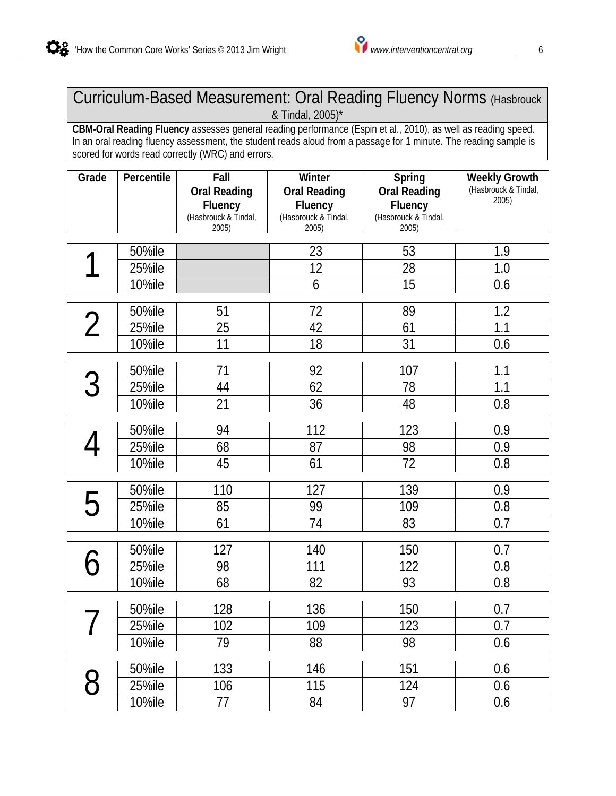### Curriculum-Based Measurement: Oral Reading Fluency Norms (Hasbrouck & Tindal, 2005)\*

**CBM-Oral Reading Fluency** assesses general reading performance (Espin et al., 2010), as well as reading speed. In an oral reading fluency assessment, the student reads aloud from a passage for 1 minute. The reading sample is scored for words read correctly (WRC) and errors.

| Grade          | Percentile       | Fall                           | Winter                         | Spring                         | <b>Weekly Growth</b><br>(Hasbrouck & Tindal, |
|----------------|------------------|--------------------------------|--------------------------------|--------------------------------|----------------------------------------------|
|                |                  | <b>Oral Reading</b><br>Fluency | <b>Oral Reading</b><br>Fluency | <b>Oral Reading</b><br>Fluency | 2005)                                        |
|                |                  | (Hasbrouck & Tindal,           | (Hasbrouck & Tindal,           | (Hasbrouck & Tindal,           |                                              |
|                |                  | 2005)                          | 2005)                          | 2005)                          |                                              |
|                | 50%ile           |                                | 23                             | 53                             | 1.9                                          |
|                | 25%ile           |                                | 12                             | 28                             | 1.0                                          |
|                | <b>10%ile</b>    |                                | 6                              | 15                             | 0.6                                          |
|                | 50%ile           | 51                             | 72                             | 89                             | 1.2                                          |
| $\overline{2}$ | 25%ile           | 25                             | 42                             | 61                             | 1.1                                          |
|                | <b>10%ile</b>    | 11                             | 18                             | 31                             | 0.6                                          |
|                |                  |                                |                                |                                |                                              |
| 3              | 50%ile<br>25%ile | 71                             | 92<br>62                       | 107                            | 1.1                                          |
|                | <b>10%ile</b>    | 44<br>21                       | 36                             | 78<br>48                       | 1.1<br>0.8                                   |
|                |                  |                                |                                |                                |                                              |
|                | 50%ile           | 94                             | 112                            | 123                            | 0.9                                          |
|                | 25%ile           | 68                             | 87                             | 98                             | 0.9                                          |
|                | <b>10%ile</b>    | 45                             | 61                             | 72                             | 0.8                                          |
| 5              | 50%ile           | 110                            | 127                            | 139                            | 0.9                                          |
|                | 25%ile           | 85                             | 99                             | 109                            | 0.8                                          |
|                | <b>10%ile</b>    | 61                             | 74                             | 83                             | 0.7                                          |
|                | 50%ile           | 127                            | 140                            | 150                            | 0.7                                          |
|                | 25%ile           | 98                             | 111                            | 122                            | 0.8                                          |
|                | <b>10%ile</b>    | 68                             | 82                             | 93                             | 0.8                                          |
|                |                  |                                |                                |                                |                                              |
|                | 50%ile           | 128                            | 136                            | 150                            | 0.7                                          |
|                | 25%ile           | 102                            | 109                            | 123                            | 0.7                                          |
|                | <b>10%ile</b>    | 79                             | 88                             | 98                             | 0.6                                          |
|                | 50%ile           | 133                            | 146                            | 151                            | 0.6                                          |
| 8              | 25%ile           | 106                            | 115                            | 124                            | 0.6                                          |
|                | <b>10%ile</b>    | 77                             | 84                             | 97                             | 0.6                                          |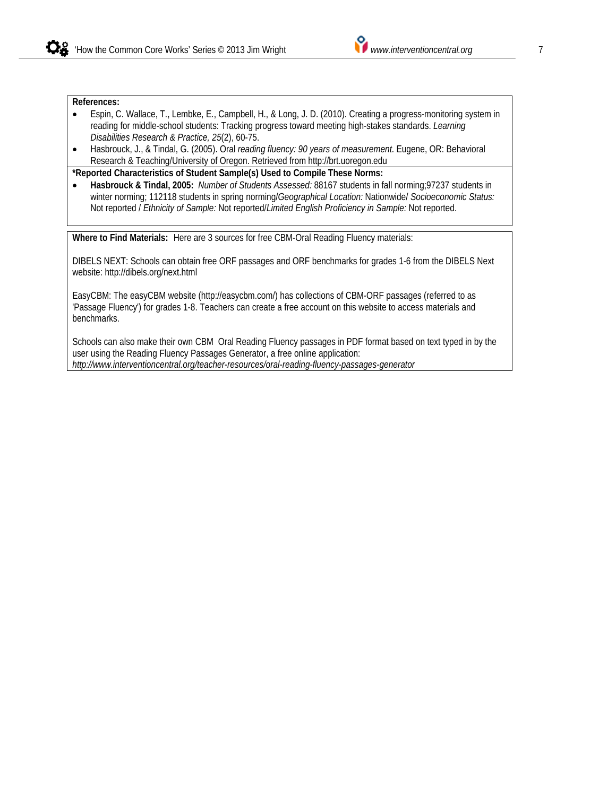#### **References:**

- Espin, C. Wallace, T., Lembke, E., Campbell, H., & Long, J. D. (2010). Creating a progress-monitoring system in reading for middle-school students: Tracking progress toward meeting high-stakes standards. *Learning Disabilities Research & Practice, 25*(2), 60-75.
- Hasbrouck, J., & Tindal, G. (2005). Oral *reading fluency: 90 years of measurement*. Eugene, OR: Behavioral Research & Teaching/University of Oregon. Retrieved from http://brt.uoregon.edu

**\*Reported Characteristics of Student Sample(s) Used to Compile These Norms:** 

• **Hasbrouck & Tindal, 2005:** *Number of Students Assessed:* 88167 students in fall norming;97237 students in winter norming; 112118 students in spring norming/*Geographical Location:* Nationwide/ *Socioeconomic Status:* Not reported / *Ethnicity of Sample:* Not reported/*Limited English Proficiency in Sample:* Not reported.

**Where to Find Materials:** Here are 3 sources for free CBM-Oral Reading Fluency materials:

DIBELS NEXT: Schools can obtain free ORF passages and ORF benchmarks for grades 1-6 from the DIBELS Next website: http://dibels.org/next.html

EasyCBM: The easyCBM website (http://easycbm.com/) has collections of CBM-ORF passages (referred to as 'Passage Fluency') for grades 1-8. Teachers can create a free account on this website to access materials and benchmarks.

Schools can also make their own CBM Oral Reading Fluency passages in PDF format based on text typed in by the user using the Reading Fluency Passages Generator, a free online application: *http://www.interventioncentral.org/teacher-resources/oral-reading-fluency-passages-generator*